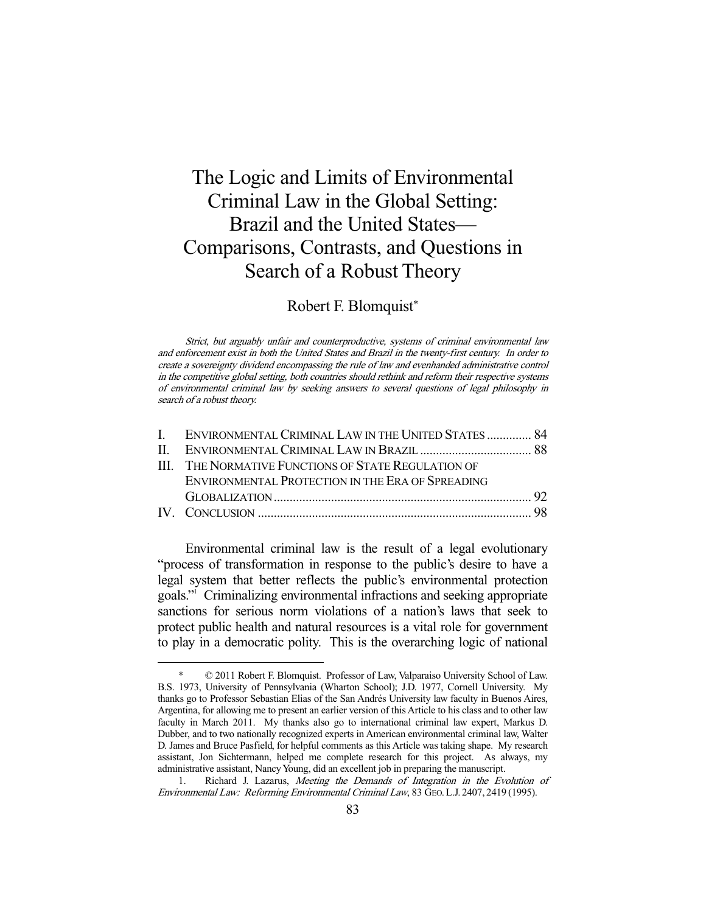# The Logic and Limits of Environmental Criminal Law in the Global Setting: Brazil and the United States— Comparisons, Contrasts, and Questions in Search of a Robust Theory

# Robert F. Blomquist\*

Strict, but arguably unfair and counterproductive, systems of criminal environmental law and enforcement exist in both the United States and Brazil in the twenty-first century. In order to create a sovereignty dividend encompassing the rule of law and evenhanded administrative control in the competitive global setting, both countries should rethink and reform their respective systems of environmental criminal law by seeking answers to several questions of legal philosophy in search of a robust theory.

|  | I. ENVIRONMENTAL CRIMINAL LAW IN THE UNITED STATES 84 |  |
|--|-------------------------------------------------------|--|
|  |                                                       |  |
|  | III. THE NORMATIVE FUNCTIONS OF STATE REGULATION OF   |  |
|  | ENVIRONMENTAL PROTECTION IN THE ERA OF SPREADING      |  |
|  |                                                       |  |
|  |                                                       |  |

 Environmental criminal law is the result of a legal evolutionary "process of transformation in response to the public's desire to have a legal system that better reflects the public's environmental protection goals."1 Criminalizing environmental infractions and seeking appropriate sanctions for serious norm violations of a nation's laws that seek to protect public health and natural resources is a vital role for government to play in a democratic polity. This is the overarching logic of national

 $\degree$  2011 Robert F. Blomquist. Professor of Law, Valparaiso University School of Law. B.S. 1973, University of Pennsylvania (Wharton School); J.D. 1977, Cornell University. My thanks go to Professor Sebastian Elias of the San Andrés University law faculty in Buenos Aires, Argentina, for allowing me to present an earlier version of this Article to his class and to other law faculty in March 2011. My thanks also go to international criminal law expert, Markus D. Dubber, and to two nationally recognized experts in American environmental criminal law, Walter D. James and Bruce Pasfield, for helpful comments as this Article was taking shape. My research assistant, Jon Sichtermann, helped me complete research for this project. As always, my administrative assistant, Nancy Young, did an excellent job in preparing the manuscript.

 <sup>1.</sup> Richard J. Lazarus, Meeting the Demands of Integration in the Evolution of Environmental Law: Reforming Environmental Criminal Law, 83 GEO.L.J. 2407, 2419 (1995).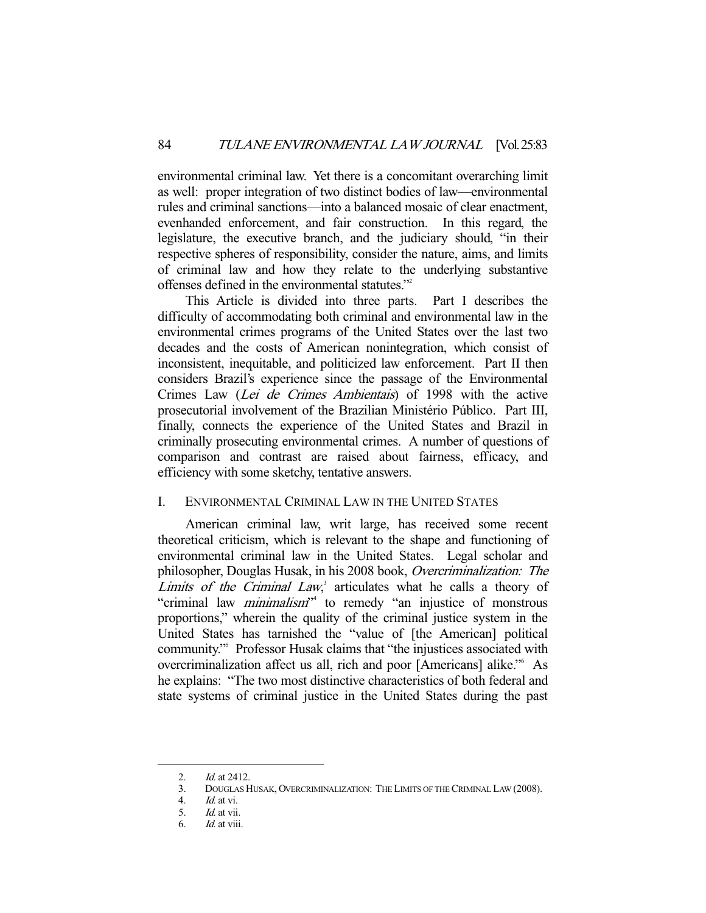environmental criminal law. Yet there is a concomitant overarching limit as well: proper integration of two distinct bodies of law—environmental rules and criminal sanctions—into a balanced mosaic of clear enactment, evenhanded enforcement, and fair construction. In this regard, the legislature, the executive branch, and the judiciary should, "in their respective spheres of responsibility, consider the nature, aims, and limits of criminal law and how they relate to the underlying substantive offenses defined in the environmental statutes."2

 This Article is divided into three parts. Part I describes the difficulty of accommodating both criminal and environmental law in the environmental crimes programs of the United States over the last two decades and the costs of American nonintegration, which consist of inconsistent, inequitable, and politicized law enforcement. Part II then considers Brazil's experience since the passage of the Environmental Crimes Law (Lei de Crimes Ambientais) of 1998 with the active prosecutorial involvement of the Brazilian Ministério Público. Part III, finally, connects the experience of the United States and Brazil in criminally prosecuting environmental crimes. A number of questions of comparison and contrast are raised about fairness, efficacy, and efficiency with some sketchy, tentative answers.

## I. ENVIRONMENTAL CRIMINAL LAW IN THE UNITED STATES

 American criminal law, writ large, has received some recent theoretical criticism, which is relevant to the shape and functioning of environmental criminal law in the United States. Legal scholar and philosopher, Douglas Husak, in his 2008 book, Overcriminalization: The Limits of the Criminal Law, $3$  articulates what he calls a theory of "criminal law *minimalism*" to remedy "an injustice of monstrous proportions," wherein the quality of the criminal justice system in the United States has tarnished the "value of [the American] political community."5 Professor Husak claims that "the injustices associated with overcriminalization affect us all, rich and poor [Americans] alike."6 As he explains: "The two most distinctive characteristics of both federal and state systems of criminal justice in the United States during the past

 <sup>2.</sup> Id. at 2412.

 <sup>3.</sup> DOUGLAS HUSAK, OVERCRIMINALIZATION: THE LIMITS OF THE CRIMINAL LAW (2008).

 <sup>4.</sup> Id. at vi.

 <sup>5.</sup> Id. at vii.

<sup>6.</sup>  $Id$  at viii.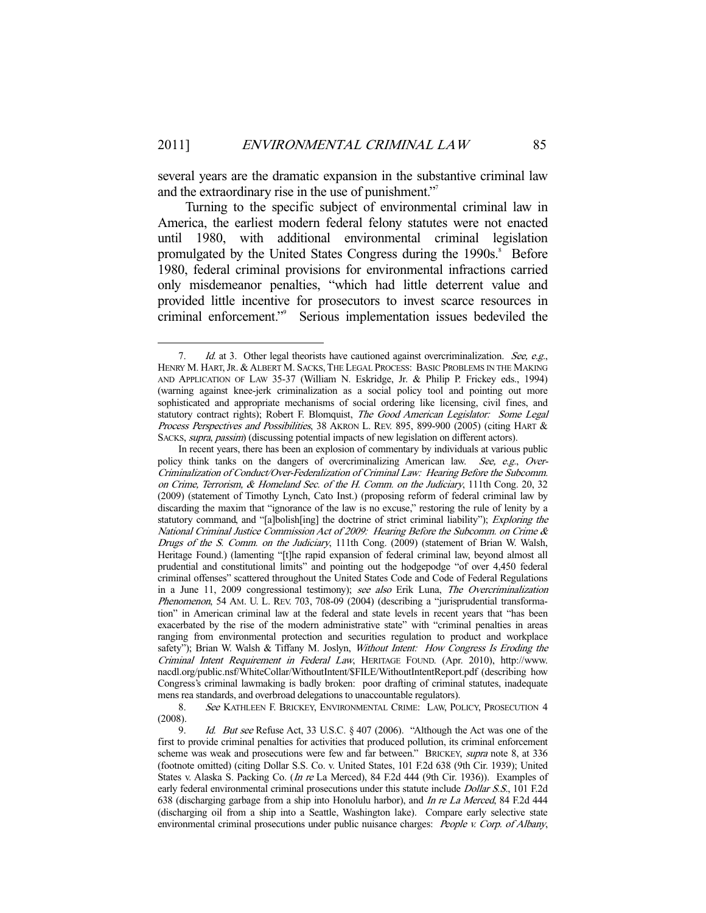-

several years are the dramatic expansion in the substantive criminal law and the extraordinary rise in the use of punishment."<sup>7</sup>

 Turning to the specific subject of environmental criminal law in America, the earliest modern federal felony statutes were not enacted until 1980, with additional environmental criminal legislation promulgated by the United States Congress during the 1990s.<sup>8</sup> Before 1980, federal criminal provisions for environmental infractions carried only misdemeanor penalties, "which had little deterrent value and provided little incentive for prosecutors to invest scarce resources in criminal enforcement."9 Serious implementation issues bedeviled the

8. See KATHLEEN F. BRICKEY, ENVIRONMENTAL CRIME: LAW, POLICY, PROSECUTION 4 (2008).

<sup>7.</sup> Id. at 3. Other legal theorists have cautioned against overcriminalization. See, e.g., HENRY M. HART, JR. & ALBERT M. SACKS, THE LEGAL PROCESS: BASIC PROBLEMS IN THE MAKING AND APPLICATION OF LAW 35-37 (William N. Eskridge, Jr. & Philip P. Frickey eds., 1994) (warning against knee-jerk criminalization as a social policy tool and pointing out more sophisticated and appropriate mechanisms of social ordering like licensing, civil fines, and statutory contract rights); Robert F. Blomquist, *The Good American Legislator: Some Legal* Process Perspectives and Possibilities, 38 AKRON L. REV. 895, 899-900 (2005) (citing HART & SACKS, supra, passim) (discussing potential impacts of new legislation on different actors).

In recent years, there has been an explosion of commentary by individuals at various public policy think tanks on the dangers of overcriminalizing American law. See, e.g., Over-Criminalization of Conduct/Over-Federalization of Criminal Law: Hearing Before the Subcomm. on Crime, Terrorism, & Homeland Sec. of the H. Comm. on the Judiciary, 111th Cong. 20, 32 (2009) (statement of Timothy Lynch, Cato Inst.) (proposing reform of federal criminal law by discarding the maxim that "ignorance of the law is no excuse," restoring the rule of lenity by a statutory command, and "[a]bolish[ing] the doctrine of strict criminal liability"); Exploring the National Criminal Justice Commission Act of 2009: Hearing Before the Subcomm. on Crime & Drugs of the S. Comm. on the Judiciary, 111th Cong. (2009) (statement of Brian W. Walsh, Heritage Found.) (lamenting "[t]he rapid expansion of federal criminal law, beyond almost all prudential and constitutional limits" and pointing out the hodgepodge "of over 4,450 federal criminal offenses" scattered throughout the United States Code and Code of Federal Regulations in a June 11, 2009 congressional testimony); see also Erik Luna, The Overcriminalization Phenomenon, 54 AM. U. L. REV. 703, 708-09 (2004) (describing a "jurisprudential transformation" in American criminal law at the federal and state levels in recent years that "has been exacerbated by the rise of the modern administrative state" with "criminal penalties in areas ranging from environmental protection and securities regulation to product and workplace safety"); Brian W. Walsh & Tiffany M. Joslyn, Without Intent: How Congress Is Eroding the Criminal Intent Requirement in Federal Law, HERITAGE FOUND. (Apr. 2010), http://www. nacdl.org/public.nsf/WhiteCollar/WithoutIntent/\$FILE/WithoutIntentReport.pdf (describing how Congress's criminal lawmaking is badly broken: poor drafting of criminal statutes, inadequate mens rea standards, and overbroad delegations to unaccountable regulators).

<sup>9.</sup> *Id. But see* Refuse Act, 33 U.S.C. § 407 (2006). "Although the Act was one of the first to provide criminal penalties for activities that produced pollution, its criminal enforcement scheme was weak and prosecutions were few and far between." BRICKEY, supra note 8, at 336 (footnote omitted) (citing Dollar S.S. Co. v. United States, 101 F.2d 638 (9th Cir. 1939); United States v. Alaska S. Packing Co. (In re La Merced), 84 F.2d 444 (9th Cir. 1936)). Examples of early federal environmental criminal prosecutions under this statute include *Dollar S.S.*, 101 F.2d 638 (discharging garbage from a ship into Honolulu harbor), and In re La Merced, 84 F.2d 444 (discharging oil from a ship into a Seattle, Washington lake). Compare early selective state environmental criminal prosecutions under public nuisance charges: People v. Corp. of Albany,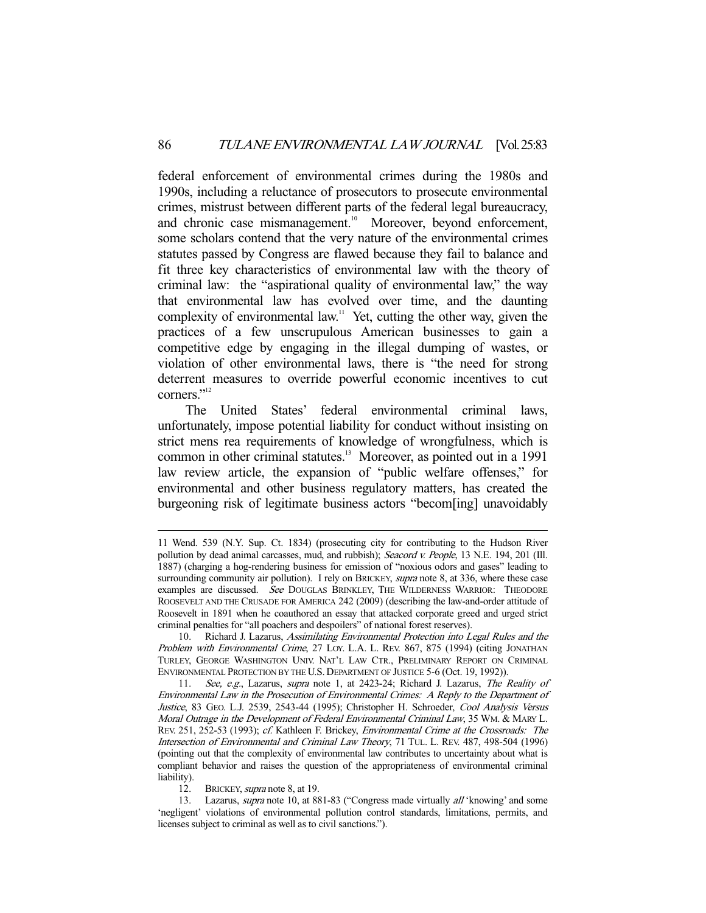federal enforcement of environmental crimes during the 1980s and 1990s, including a reluctance of prosecutors to prosecute environmental crimes, mistrust between different parts of the federal legal bureaucracy, and chronic case mismanagement.<sup>10</sup> Moreover, beyond enforcement, some scholars contend that the very nature of the environmental crimes statutes passed by Congress are flawed because they fail to balance and fit three key characteristics of environmental law with the theory of criminal law: the "aspirational quality of environmental law," the way that environmental law has evolved over time, and the daunting complexity of environmental law.<sup>11</sup> Yet, cutting the other way, given the practices of a few unscrupulous American businesses to gain a competitive edge by engaging in the illegal dumping of wastes, or violation of other environmental laws, there is "the need for strong deterrent measures to override powerful economic incentives to cut corners."<sup>12</sup>

 The United States' federal environmental criminal laws, unfortunately, impose potential liability for conduct without insisting on strict mens rea requirements of knowledge of wrongfulness, which is common in other criminal statutes.<sup>13</sup> Moreover, as pointed out in a 1991 law review article, the expansion of "public welfare offenses," for environmental and other business regulatory matters, has created the burgeoning risk of legitimate business actors "becom[ing] unavoidably

<sup>11</sup> Wend. 539 (N.Y. Sup. Ct. 1834) (prosecuting city for contributing to the Hudson River pollution by dead animal carcasses, mud, and rubbish); Seacord v. People, 13 N.E. 194, 201 (Ill. 1887) (charging a hog-rendering business for emission of "noxious odors and gases" leading to surrounding community air pollution). I rely on BRICKEY, *supra* note 8, at 336, where these case examples are discussed. See DOUGLAS BRINKLEY, THE WILDERNESS WARRIOR: THEODORE ROOSEVELT AND THE CRUSADE FOR AMERICA 242 (2009) (describing the law-and-order attitude of Roosevelt in 1891 when he coauthored an essay that attacked corporate greed and urged strict criminal penalties for "all poachers and despoilers" of national forest reserves).

<sup>10.</sup> Richard J. Lazarus, Assimilating Environmental Protection into Legal Rules and the Problem with Environmental Crime, 27 LOY. L.A. L. REV. 867, 875 (1994) (citing JONATHAN TURLEY, GEORGE WASHINGTON UNIV. NAT'L LAW CTR., PRELIMINARY REPORT ON CRIMINAL ENVIRONMENTAL PROTECTION BY THE U.S. DEPARTMENT OF JUSTICE 5-6 (Oct. 19, 1992)).

<sup>11.</sup> See, e.g., Lazarus, supra note 1, at 2423-24; Richard J. Lazarus, The Reality of Environmental Law in the Prosecution of Environmental Crimes: A Reply to the Department of Justice, 83 GEO. L.J. 2539, 2543-44 (1995); Christopher H. Schroeder, Cool Analysis Versus Moral Outrage in the Development of Federal Environmental Criminal Law, 35 WM. & MARY L. REV. 251, 252-53 (1993); cf. Kathleen F. Brickey, Environmental Crime at the Crossroads: The Intersection of Environmental and Criminal Law Theory, 71 TUL. L. REV. 487, 498-504 (1996) (pointing out that the complexity of environmental law contributes to uncertainty about what is compliant behavior and raises the question of the appropriateness of environmental criminal liability).

<sup>12.</sup> BRICKEY, *supra* note 8, at 19.

 <sup>13.</sup> Lazarus, supra note 10, at 881-83 ("Congress made virtually all 'knowing' and some 'negligent' violations of environmental pollution control standards, limitations, permits, and licenses subject to criminal as well as to civil sanctions.").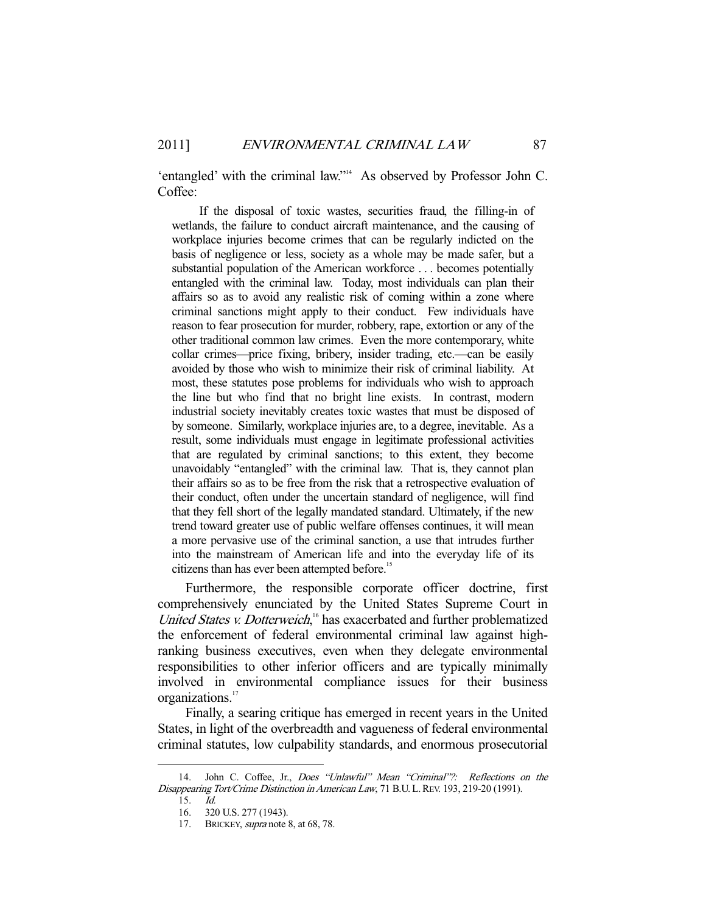'entangled' with the criminal law."<sup>14</sup> As observed by Professor John C. Coffee:

 If the disposal of toxic wastes, securities fraud, the filling-in of wetlands, the failure to conduct aircraft maintenance, and the causing of workplace injuries become crimes that can be regularly indicted on the basis of negligence or less, society as a whole may be made safer, but a substantial population of the American workforce . . . becomes potentially entangled with the criminal law. Today, most individuals can plan their affairs so as to avoid any realistic risk of coming within a zone where criminal sanctions might apply to their conduct. Few individuals have reason to fear prosecution for murder, robbery, rape, extortion or any of the other traditional common law crimes. Even the more contemporary, white collar crimes—price fixing, bribery, insider trading, etc.—can be easily avoided by those who wish to minimize their risk of criminal liability. At most, these statutes pose problems for individuals who wish to approach the line but who find that no bright line exists. In contrast, modern industrial society inevitably creates toxic wastes that must be disposed of by someone. Similarly, workplace injuries are, to a degree, inevitable. As a result, some individuals must engage in legitimate professional activities that are regulated by criminal sanctions; to this extent, they become unavoidably "entangled" with the criminal law. That is, they cannot plan their affairs so as to be free from the risk that a retrospective evaluation of their conduct, often under the uncertain standard of negligence, will find that they fell short of the legally mandated standard. Ultimately, if the new trend toward greater use of public welfare offenses continues, it will mean a more pervasive use of the criminal sanction, a use that intrudes further into the mainstream of American life and into the everyday life of its citizens than has ever been attempted before.<sup>15</sup>

 Furthermore, the responsible corporate officer doctrine, first comprehensively enunciated by the United States Supreme Court in United States v. Dotterweich,<sup>16</sup> has exacerbated and further problematized the enforcement of federal environmental criminal law against highranking business executives, even when they delegate environmental responsibilities to other inferior officers and are typically minimally involved in environmental compliance issues for their business organizations.<sup>17</sup>

 Finally, a searing critique has emerged in recent years in the United States, in light of the overbreadth and vagueness of federal environmental criminal statutes, low culpability standards, and enormous prosecutorial

<sup>14.</sup> John C. Coffee, Jr., Does "Unlawful" Mean "Criminal"?: Reflections on the Disappearing Tort/Crime Distinction in American Law, 71 B.U. L.REV. 193, 219-20 (1991).

 <sup>15.</sup> Id.

 <sup>16. 320</sup> U.S. 277 (1943).

<sup>17.</sup> BRICKEY, *supra* note 8, at 68, 78.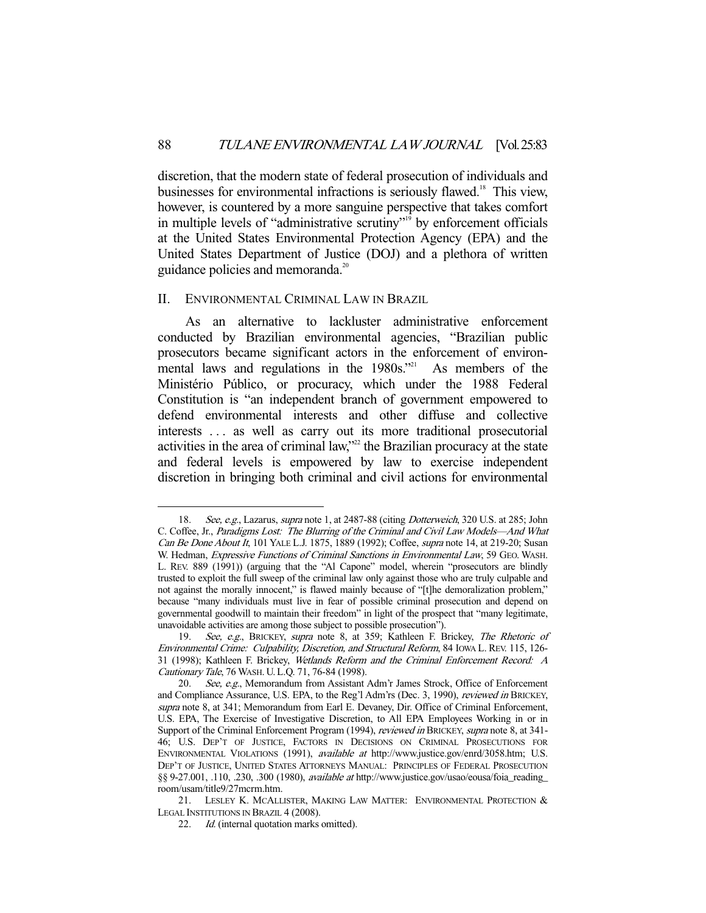discretion, that the modern state of federal prosecution of individuals and businesses for environmental infractions is seriously flawed.<sup>18</sup> This view, however, is countered by a more sanguine perspective that takes comfort in multiple levels of "administrative scrutiny"<sup>19</sup> by enforcement officials at the United States Environmental Protection Agency (EPA) and the United States Department of Justice (DOJ) and a plethora of written guidance policies and memoranda.<sup>20</sup>

### II. ENVIRONMENTAL CRIMINAL LAW IN BRAZIL

 As an alternative to lackluster administrative enforcement conducted by Brazilian environmental agencies, "Brazilian public prosecutors became significant actors in the enforcement of environmental laws and regulations in the 1980s."<sup>21</sup> As members of the Ministério Público, or procuracy, which under the 1988 Federal Constitution is "an independent branch of government empowered to defend environmental interests and other diffuse and collective interests . . . as well as carry out its more traditional prosecutorial activities in the area of criminal law,<sup>"22</sup> the Brazilian procuracy at the state and federal levels is empowered by law to exercise independent discretion in bringing both criminal and civil actions for environmental

<sup>18.</sup> See, e.g., Lazarus, supra note 1, at 2487-88 (citing *Dotterweich*, 320 U.S. at 285; John C. Coffee, Jr., Paradigms Lost: The Blurring of the Criminal and Civil Law Models—And What Can Be Done About It, 101 YALE L.J. 1875, 1889 (1992); Coffee, *supra* note 14, at 219-20; Susan W. Hedman, Expressive Functions of Criminal Sanctions in Environmental Law, 59 GEO. WASH. L. REV. 889 (1991)) (arguing that the "Al Capone" model, wherein "prosecutors are blindly trusted to exploit the full sweep of the criminal law only against those who are truly culpable and not against the morally innocent," is flawed mainly because of "[t]he demoralization problem," because "many individuals must live in fear of possible criminal prosecution and depend on governmental goodwill to maintain their freedom" in light of the prospect that "many legitimate, unavoidable activities are among those subject to possible prosecution").

 <sup>19.</sup> See, e.g., BRICKEY, supra note 8, at 359; Kathleen F. Brickey, The Rhetoric of Environmental Crime: Culpability, Discretion, and Structural Reform, 84 IOWA L. REV. 115, 126- 31 (1998); Kathleen F. Brickey, Wetlands Reform and the Criminal Enforcement Record: A Cautionary Tale, 76 WASH. U. L.Q. 71, 76-84 (1998).

 <sup>20.</sup> See, e.g., Memorandum from Assistant Adm'r James Strock, Office of Enforcement and Compliance Assurance, U.S. EPA, to the Reg'l Adm'rs (Dec. 3, 1990), reviewed in BRICKEY, supra note 8, at 341; Memorandum from Earl E. Devaney, Dir. Office of Criminal Enforcement, U.S. EPA, The Exercise of Investigative Discretion, to All EPA Employees Working in or in Support of the Criminal Enforcement Program (1994), *reviewed in* BRICKEY, *supra* note 8, at 341-46; U.S. DEP'T OF JUSTICE, FACTORS IN DECISIONS ON CRIMINAL PROSECUTIONS FOR ENVIRONMENTAL VIOLATIONS (1991), available at http://www.justice.gov/enrd/3058.htm; U.S. DEP'T OF JUSTICE, UNITED STATES ATTORNEYS MANUAL: PRINCIPLES OF FEDERAL PROSECUTION §§ 9-27.001, .110, .230, .300 (1980), available at http://www.justice.gov/usao/eousa/foia\_reading\_ room/usam/title9/27mcrm.htm.

<sup>21.</sup> LESLEY K. MCALLISTER, MAKING LAW MATTER: ENVIRONMENTAL PROTECTION & LEGAL INSTITUTIONS IN BRAZIL 4 (2008).

<sup>22.</sup> *Id.* (internal quotation marks omitted).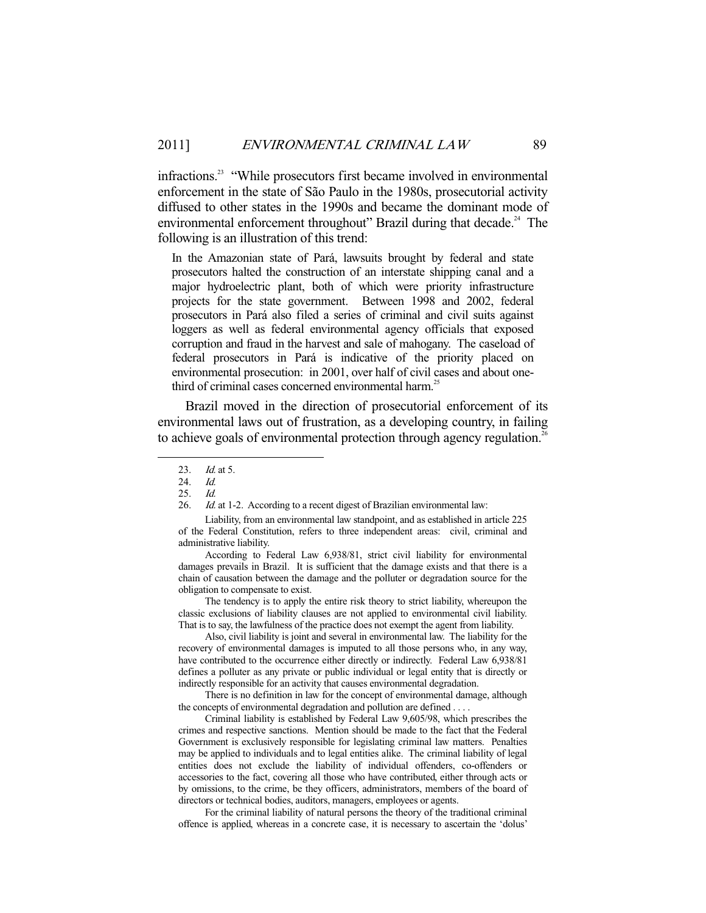infractions.23 "While prosecutors first became involved in environmental enforcement in the state of São Paulo in the 1980s, prosecutorial activity diffused to other states in the 1990s and became the dominant mode of environmental enforcement throughout" Brazil during that decade.<sup>24</sup> The following is an illustration of this trend:

In the Amazonian state of Pará, lawsuits brought by federal and state prosecutors halted the construction of an interstate shipping canal and a major hydroelectric plant, both of which were priority infrastructure projects for the state government. Between 1998 and 2002, federal prosecutors in Pará also filed a series of criminal and civil suits against loggers as well as federal environmental agency officials that exposed corruption and fraud in the harvest and sale of mahogany. The caseload of federal prosecutors in Pará is indicative of the priority placed on environmental prosecution: in 2001, over half of civil cases and about onethird of criminal cases concerned environmental harm.<sup>25</sup>

 Brazil moved in the direction of prosecutorial enforcement of its environmental laws out of frustration, as a developing country, in failing to achieve goals of environmental protection through agency regulation.<sup>26</sup>

-

 According to Federal Law 6,938/81, strict civil liability for environmental damages prevails in Brazil. It is sufficient that the damage exists and that there is a chain of causation between the damage and the polluter or degradation source for the obligation to compensate to exist.

 The tendency is to apply the entire risk theory to strict liability, whereupon the classic exclusions of liability clauses are not applied to environmental civil liability. That is to say, the lawfulness of the practice does not exempt the agent from liability.

 Also, civil liability is joint and several in environmental law. The liability for the recovery of environmental damages is imputed to all those persons who, in any way, have contributed to the occurrence either directly or indirectly. Federal Law 6,938/81 defines a polluter as any private or public individual or legal entity that is directly or indirectly responsible for an activity that causes environmental degradation.

 There is no definition in law for the concept of environmental damage, although the concepts of environmental degradation and pollution are defined . . . .

 Criminal liability is established by Federal Law 9,605/98, which prescribes the crimes and respective sanctions. Mention should be made to the fact that the Federal Government is exclusively responsible for legislating criminal law matters. Penalties may be applied to individuals and to legal entities alike. The criminal liability of legal entities does not exclude the liability of individual offenders, co-offenders or accessories to the fact, covering all those who have contributed, either through acts or by omissions, to the crime, be they officers, administrators, members of the board of directors or technical bodies, auditors, managers, employees or agents.

 For the criminal liability of natural persons the theory of the traditional criminal offence is applied, whereas in a concrete case, it is necessary to ascertain the 'dolus'

<sup>23.</sup> *Id.* at 5.<br>24. *Id.* 

<sup>24.</sup> *Id.*<br>25. *Id.* 

 $25.$ 

<sup>26.</sup> *Id.* at 1-2. According to a recent digest of Brazilian environmental law:

Liability, from an environmental law standpoint, and as established in article 225 of the Federal Constitution, refers to three independent areas: civil, criminal and administrative liability.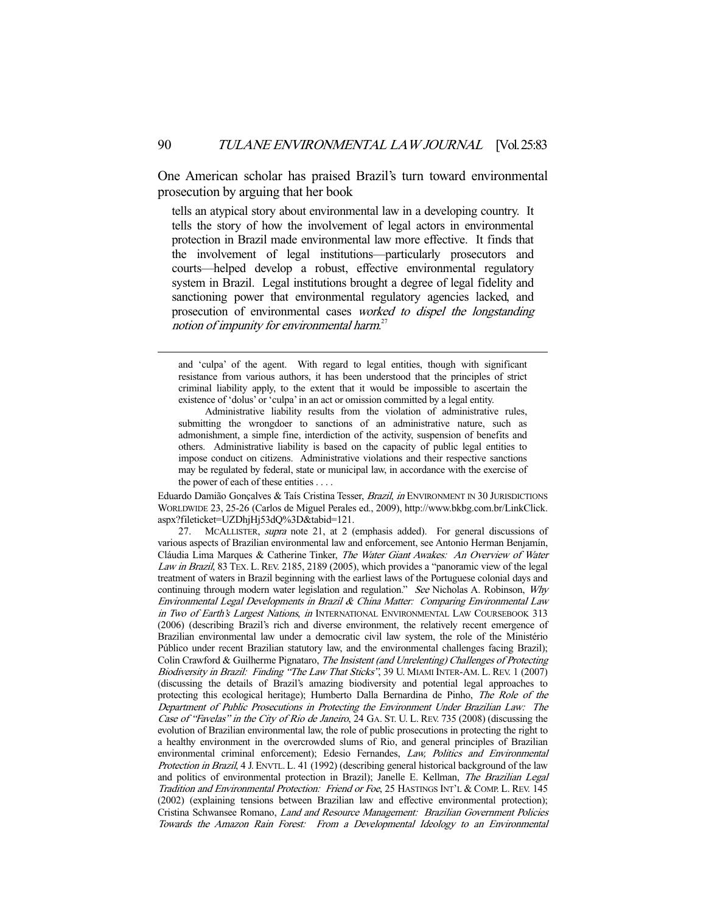One American scholar has praised Brazil's turn toward environmental prosecution by arguing that her book

tells an atypical story about environmental law in a developing country. It tells the story of how the involvement of legal actors in environmental protection in Brazil made environmental law more effective. It finds that the involvement of legal institutions—particularly prosecutors and courts—helped develop a robust, effective environmental regulatory system in Brazil. Legal institutions brought a degree of legal fidelity and sanctioning power that environmental regulatory agencies lacked, and prosecution of environmental cases worked to dispel the longstanding notion of impunity for environmental harm.<sup>27</sup>

 and 'culpa' of the agent. With regard to legal entities, though with significant resistance from various authors, it has been understood that the principles of strict criminal liability apply, to the extent that it would be impossible to ascertain the existence of 'dolus' or 'culpa' in an act or omission committed by a legal entity.

 Administrative liability results from the violation of administrative rules, submitting the wrongdoer to sanctions of an administrative nature, such as admonishment, a simple fine, interdiction of the activity, suspension of benefits and others. Administrative liability is based on the capacity of public legal entities to impose conduct on citizens. Administrative violations and their respective sanctions may be regulated by federal, state or municipal law, in accordance with the exercise of the power of each of these entities . . . .

Eduardo Damião Gonçalves & Taís Cristina Tesser, Brazil, in ENVIRONMENT IN 30 JURISDICTIONS WORLDWIDE 23, 25-26 (Carlos de Miguel Perales ed., 2009), http://www.bkbg.com.br/LinkClick. aspx?fileticket=UZDhjHj53dQ%3D&tabid=121.

27. MCALLISTER, supra note 21, at 2 (emphasis added). For general discussions of various aspects of Brazilian environmental law and enforcement, see Antonio Herman Benjamín, Cláudia Lima Marques & Catherine Tinker, The Water Giant Awakes: An Overview of Water Law in Brazil, 83 TEX. L. REV. 2185, 2189 (2005), which provides a "panoramic view of the legal treatment of waters in Brazil beginning with the earliest laws of the Portuguese colonial days and continuing through modern water legislation and regulation." See Nicholas A. Robinson, Why Environmental Legal Developments in Brazil & China Matter: Comparing Environmental Law in Two of Earth's Largest Nations, in INTERNATIONAL ENVIRONMENTAL LAW COURSEBOOK 313 (2006) (describing Brazil's rich and diverse environment, the relatively recent emergence of Brazilian environmental law under a democratic civil law system, the role of the Ministério Público under recent Brazilian statutory law, and the environmental challenges facing Brazil); Colin Crawford & Guilherme Pignataro, The Insistent (and Unrelenting) Challenges of Protecting Biodiversity in Brazil: Finding "The Law That Sticks", 39 U. MIAMI INTER-AM. L. REV. 1 (2007) (discussing the details of Brazil's amazing biodiversity and potential legal approaches to protecting this ecological heritage); Humberto Dalla Bernardina de Pinho, The Role of the Department of Public Prosecutions in Protecting the Environment Under Brazilian Law: The Case of "Favelas" in the City of Rio de Janeiro, 24 GA. ST. U. L. REV. 735 (2008) (discussing the evolution of Brazilian environmental law, the role of public prosecutions in protecting the right to a healthy environment in the overcrowded slums of Rio, and general principles of Brazilian environmental criminal enforcement); Edesio Fernandes, Law, Politics and Environmental Protection in Brazil, 4 J. ENVTL. L. 41 (1992) (describing general historical background of the law and politics of environmental protection in Brazil); Janelle E. Kellman, The Brazilian Legal Tradition and Environmental Protection: Friend or Foe, 25 HASTINGS INT'L & COMP. L. REV. 145 (2002) (explaining tensions between Brazilian law and effective environmental protection); Cristina Schwansee Romano, Land and Resource Management: Brazilian Government Policies Towards the Amazon Rain Forest: From a Developmental Ideology to an Environmental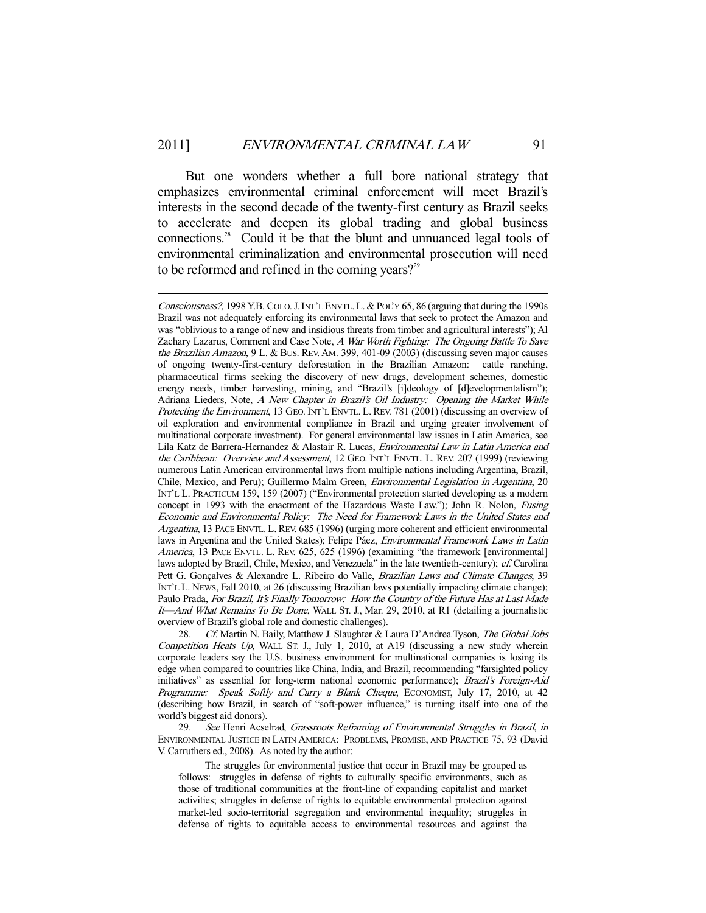-

 But one wonders whether a full bore national strategy that emphasizes environmental criminal enforcement will meet Brazil's interests in the second decade of the twenty-first century as Brazil seeks to accelerate and deepen its global trading and global business connections.28 Could it be that the blunt and unnuanced legal tools of environmental criminalization and environmental prosecution will need to be reformed and refined in the coming years? $2^{29}$ 

Consciousness?, 1998 Y.B. COLO. J. INT'L ENVTL. L. & POL'Y 65, 86 (arguing that during the 1990s Brazil was not adequately enforcing its environmental laws that seek to protect the Amazon and was "oblivious to a range of new and insidious threats from timber and agricultural interests"); Al Zachary Lazarus, Comment and Case Note, A War Worth Fighting: The Ongoing Battle To Save the Brazilian Amazon, 9 L. & BUS. REV. AM. 399, 401-09 (2003) (discussing seven major causes of ongoing twenty-first-century deforestation in the Brazilian Amazon: cattle ranching, pharmaceutical firms seeking the discovery of new drugs, development schemes, domestic energy needs, timber harvesting, mining, and "Brazil's [i]deology of [d]evelopmentalism"); Adriana Lieders, Note, A New Chapter in Brazil's Oil Industry: Opening the Market While Protecting the Environment, 13 GEO. INT'L ENVTL. L. REV. 781 (2001) (discussing an overview of oil exploration and environmental compliance in Brazil and urging greater involvement of multinational corporate investment). For general environmental law issues in Latin America, see Lila Katz de Barrera-Hernandez & Alastair R. Lucas, *Environmental Law in Latin America and* the Caribbean: Overview and Assessment, 12 GEO. INT'L ENVTL. L. REV. 207 (1999) (reviewing numerous Latin American environmental laws from multiple nations including Argentina, Brazil, Chile, Mexico, and Peru); Guillermo Malm Green, Environmental Legislation in Argentina, 20 INT'L L. PRACTICUM 159, 159 (2007) ("Environmental protection started developing as a modern concept in 1993 with the enactment of the Hazardous Waste Law."); John R. Nolon, *Fusing* Economic and Environmental Policy: The Need for Framework Laws in the United States and Argentina, 13 PACE ENVTL. L. REV. 685 (1996) (urging more coherent and efficient environmental laws in Argentina and the United States); Felipe Páez, Environmental Framework Laws in Latin America, 13 PACE ENVTL. L. REV. 625, 625 (1996) (examining "the framework [environmental] laws adopted by Brazil, Chile, Mexico, and Venezuela" in the late twentieth-century); cf. Carolina Pett G. Gonçalves & Alexandre L. Ribeiro do Valle, *Brazilian Laws and Climate Changes*, 39 INT'L L. NEWS, Fall 2010, at 26 (discussing Brazilian laws potentially impacting climate change); Paulo Prada, For Brazil, It's Finally Tomorrow: How the Country of the Future Has at Last Made It—And What Remains To Be Done, WALL ST. J., Mar. 29, 2010, at R1 (detailing a journalistic overview of Brazil's global role and domestic challenges).

<sup>28.</sup> Cf. Martin N. Baily, Matthew J. Slaughter & Laura D'Andrea Tyson, The Global Jobs Competition Heats Up, WALL ST. J., July 1, 2010, at A19 (discussing a new study wherein corporate leaders say the U.S. business environment for multinational companies is losing its edge when compared to countries like China, India, and Brazil, recommending "farsighted policy initiatives" as essential for long-term national economic performance); *Brazil's Foreign-Aid* Programme: Speak Softly and Carry a Blank Cheque, ECONOMIST, July 17, 2010, at 42 (describing how Brazil, in search of "soft-power influence," is turning itself into one of the world's biggest aid donors).

 <sup>29.</sup> See Henri Acselrad, Grassroots Reframing of Environmental Struggles in Brazil, in ENVIRONMENTAL JUSTICE IN LATIN AMERICA: PROBLEMS, PROMISE, AND PRACTICE 75, 93 (David V. Carruthers ed., 2008). As noted by the author:

The struggles for environmental justice that occur in Brazil may be grouped as follows: struggles in defense of rights to culturally specific environments, such as those of traditional communities at the front-line of expanding capitalist and market activities; struggles in defense of rights to equitable environmental protection against market-led socio-territorial segregation and environmental inequality; struggles in defense of rights to equitable access to environmental resources and against the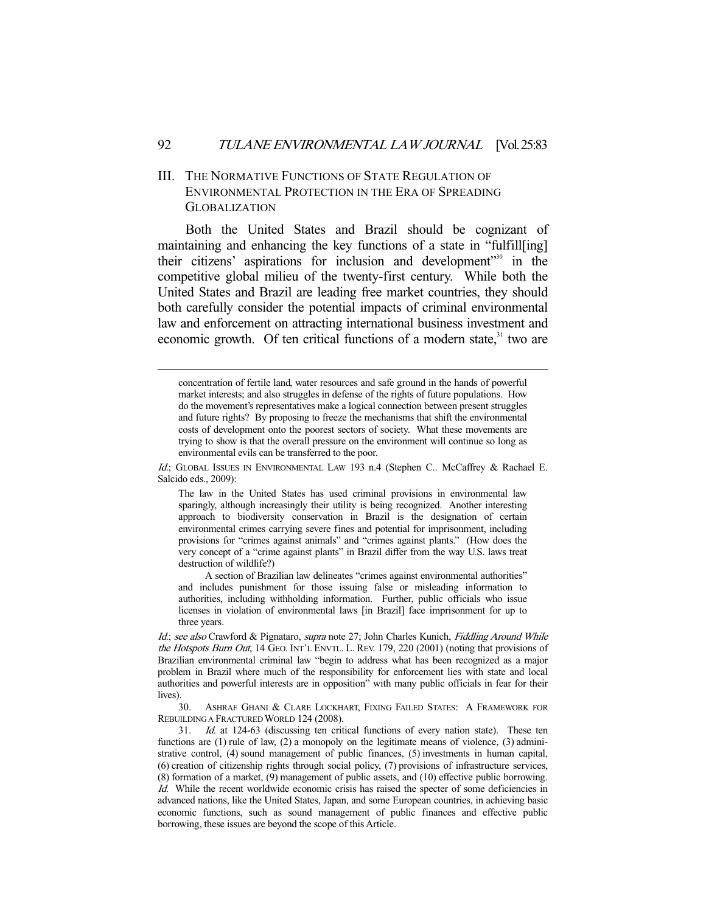# III. THE NORMATIVE FUNCTIONS OF STATE REGULATION OF ENVIRONMENTAL PROTECTION IN THE ERA OF SPREADING **GLOBALIZATION**

 Both the United States and Brazil should be cognizant of maintaining and enhancing the key functions of a state in "fulfill[ing] their citizens' aspirations for inclusion and development"30 in the competitive global milieu of the twenty-first century. While both the United States and Brazil are leading free market countries, they should both carefully consider the potential impacts of criminal environmental law and enforcement on attracting international business investment and economic growth. Of ten critical functions of a modern state,<sup>31</sup> two are

Id.; GLOBAL ISSUES IN ENVIRONMENTAL LAW 193 n.4 (Stephen C.. McCaffrey & Rachael E. Salcido eds., 2009):

The law in the United States has used criminal provisions in environmental law sparingly, although increasingly their utility is being recognized. Another interesting approach to biodiversity conservation in Brazil is the designation of certain environmental crimes carrying severe fines and potential for imprisonment, including provisions for "crimes against animals" and "crimes against plants." (How does the very concept of a "crime against plants" in Brazil differ from the way U.S. laws treat destruction of wildlife?)

 A section of Brazilian law delineates "crimes against environmental authorities" and includes punishment for those issuing false or misleading information to authorities, including withholding information. Further, public officials who issue licenses in violation of environmental laws [in Brazil] face imprisonment for up to three years.

Id.; see also Crawford & Pignataro, supra note 27; John Charles Kunich, Fiddling Around While the Hotspots Burn Out, 14 GEO. INT'L ENVTL. L. REV. 179, 220 (2001) (noting that provisions of Brazilian environmental criminal law "begin to address what has been recognized as a major problem in Brazil where much of the responsibility for enforcement lies with state and local authorities and powerful interests are in opposition" with many public officials in fear for their lives).

 30. ASHRAF GHANI & CLARE LOCKHART, FIXING FAILED STATES: A FRAMEWORK FOR REBUILDING A FRACTURED WORLD 124 (2008).

 31. Id. at 124-63 (discussing ten critical functions of every nation state). These ten functions are (1) rule of law, (2) a monopoly on the legitimate means of violence, (3) administrative control, (4) sound management of public finances, (5) investments in human capital, (6) creation of citizenship rights through social policy, (7) provisions of infrastructure services, (8) formation of a market, (9) management of public assets, and (10) effective public borrowing. Id. While the recent worldwide economic crisis has raised the specter of some deficiencies in advanced nations, like the United States, Japan, and some European countries, in achieving basic economic functions, such as sound management of public finances and effective public borrowing, these issues are beyond the scope of this Article.

concentration of fertile land, water resources and safe ground in the hands of powerful market interests; and also struggles in defense of the rights of future populations. How do the movement's representatives make a logical connection between present struggles and future rights? By proposing to freeze the mechanisms that shift the environmental costs of development onto the poorest sectors of society. What these movements are trying to show is that the overall pressure on the environment will continue so long as environmental evils can be transferred to the poor.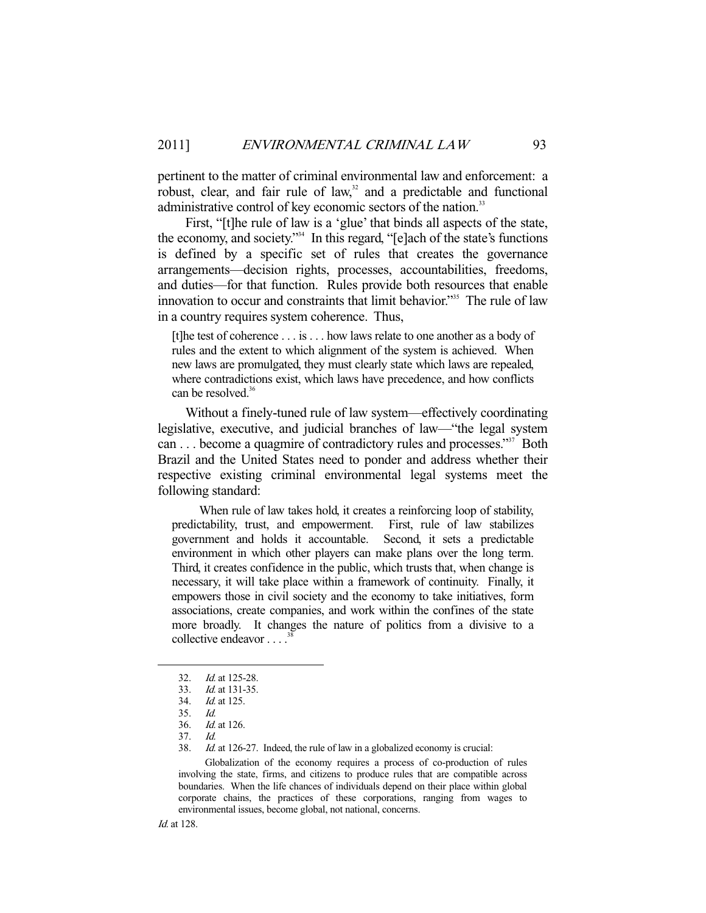pertinent to the matter of criminal environmental law and enforcement: a robust, clear, and fair rule of law, $32$  and a predictable and functional administrative control of key economic sectors of the nation.<sup>33</sup>

 First, "[t]he rule of law is a 'glue' that binds all aspects of the state, the economy, and society."34 In this regard, "[e]ach of the state's functions is defined by a specific set of rules that creates the governance arrangements—decision rights, processes, accountabilities, freedoms, and duties—for that function. Rules provide both resources that enable innovation to occur and constraints that limit behavior."<sup>35</sup> The rule of law in a country requires system coherence. Thus,

[t]he test of coherence . . . is . . . how laws relate to one another as a body of rules and the extent to which alignment of the system is achieved. When new laws are promulgated, they must clearly state which laws are repealed, where contradictions exist, which laws have precedence, and how conflicts can be resolved.<sup>36</sup>

 Without a finely-tuned rule of law system—effectively coordinating legislative, executive, and judicial branches of law—"the legal system can . . . become a quagmire of contradictory rules and processes."37 Both Brazil and the United States need to ponder and address whether their respective existing criminal environmental legal systems meet the following standard:

 When rule of law takes hold, it creates a reinforcing loop of stability, predictability, trust, and empowerment. First, rule of law stabilizes government and holds it accountable. Second, it sets a predictable environment in which other players can make plans over the long term. Third, it creates confidence in the public, which trusts that, when change is necessary, it will take place within a framework of continuity. Finally, it empowers those in civil society and the economy to take initiatives, form associations, create companies, and work within the confines of the state more broadly. It changes the nature of politics from a divisive to a collective endeavor  $\dots$ <sup>3</sup>

38. Id. at 126-27. Indeed, the rule of law in a globalized economy is crucial:

 Globalization of the economy requires a process of co-production of rules involving the state, firms, and citizens to produce rules that are compatible across boundaries. When the life chances of individuals depend on their place within global corporate chains, the practices of these corporations, ranging from wages to environmental issues, become global, not national, concerns.

 <sup>32.</sup> Id. at 125-28.

 <sup>33.</sup> Id. at 131-35.

 <sup>34.</sup> Id. at 125.

 <sup>35.</sup> Id.

 <sup>36.</sup> Id. at 126.

 <sup>37.</sup> Id.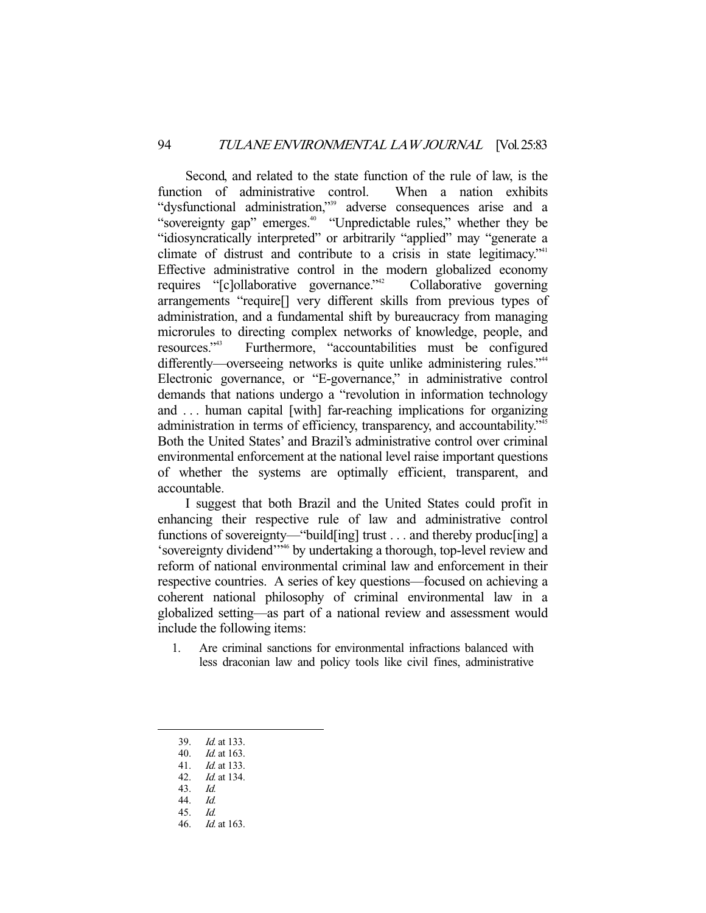Second, and related to the state function of the rule of law, is the function of administrative control. When a nation exhibits "dysfunctional administration,"<sup>39</sup> adverse consequences arise and a "sovereignty gap" emerges.<sup>40</sup> "Unpredictable rules," whether they be "idiosyncratically interpreted" or arbitrarily "applied" may "generate a climate of distrust and contribute to a crisis in state legitimacy."<sup>41</sup> Effective administrative control in the modern globalized economy requires "[c]ollaborative governance."<sup>42</sup> Collaborative governing arrangements "require[] very different skills from previous types of administration, and a fundamental shift by bureaucracy from managing microrules to directing complex networks of knowledge, people, and resources."43 Furthermore, "accountabilities must be configured differently—overseeing networks is quite unlike administering rules."<sup>44</sup> Electronic governance, or "E-governance," in administrative control demands that nations undergo a "revolution in information technology and . . . human capital [with] far-reaching implications for organizing administration in terms of efficiency, transparency, and accountability."<sup>45</sup> Both the United States' and Brazil's administrative control over criminal environmental enforcement at the national level raise important questions of whether the systems are optimally efficient, transparent, and accountable.

 I suggest that both Brazil and the United States could profit in enhancing their respective rule of law and administrative control functions of sovereignty—"build[ing] trust . . . and thereby produc[ing] a 'sovereignty dividend'"46 by undertaking a thorough, top-level review and reform of national environmental criminal law and enforcement in their respective countries. A series of key questions—focused on achieving a coherent national philosophy of criminal environmental law in a globalized setting—as part of a national review and assessment would include the following items:

1. Are criminal sanctions for environmental infractions balanced with less draconian law and policy tools like civil fines, administrative

 <sup>39.</sup> Id. at 133.

 <sup>40.</sup> Id. at 163.

 <sup>41.</sup> Id. at 133.

 <sup>42.</sup> Id. at 134.

 <sup>43.</sup> Id.

 <sup>44.</sup> Id.

 <sup>45.</sup> Id.

 <sup>46.</sup> Id. at 163.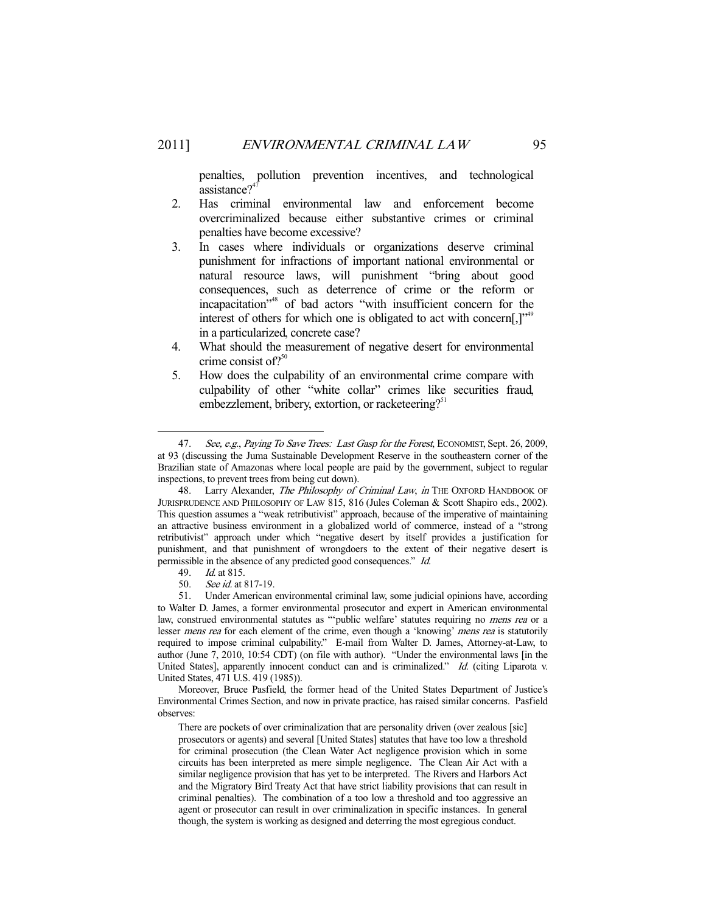penalties, pollution prevention incentives, and technological assistance? $47$ 

- 2. Has criminal environmental law and enforcement become overcriminalized because either substantive crimes or criminal penalties have become excessive?
- 3. In cases where individuals or organizations deserve criminal punishment for infractions of important national environmental or natural resource laws, will punishment "bring about good consequences, such as deterrence of crime or the reform or incapacitation"48 of bad actors "with insufficient concern for the interest of others for which one is obligated to act with concern[, $"$ <sup>49</sup> in a particularized, concrete case?
- 4. What should the measurement of negative desert for environmental crime consist of?<sup>50</sup>
- 5. How does the culpability of an environmental crime compare with culpability of other "white collar" crimes like securities fraud, embezzlement, bribery, extortion, or racketeering?<sup>51</sup>

49. *Id.* at 815.<br>50. *See id.* at 8

-

See id. at 817-19.

 51. Under American environmental criminal law, some judicial opinions have, according to Walter D. James, a former environmental prosecutor and expert in American environmental law, construed environmental statutes as "'public welfare' statutes requiring no *mens rea* or a lesser *mens rea* for each element of the crime, even though a 'knowing' *mens rea* is statutorily required to impose criminal culpability." E-mail from Walter D. James, Attorney-at-Law, to author (June 7, 2010, 10:54 CDT) (on file with author). "Under the environmental laws [in the United States], apparently innocent conduct can and is criminalized." Id. (citing Liparota v. United States, 471 U.S. 419 (1985)).

 Moreover, Bruce Pasfield, the former head of the United States Department of Justice's Environmental Crimes Section, and now in private practice, has raised similar concerns. Pasfield observes:

There are pockets of over criminalization that are personality driven (over zealous [sic] prosecutors or agents) and several [United States] statutes that have too low a threshold for criminal prosecution (the Clean Water Act negligence provision which in some circuits has been interpreted as mere simple negligence. The Clean Air Act with a similar negligence provision that has yet to be interpreted. The Rivers and Harbors Act and the Migratory Bird Treaty Act that have strict liability provisions that can result in criminal penalties). The combination of a too low a threshold and too aggressive an agent or prosecutor can result in over criminalization in specific instances. In general though, the system is working as designed and deterring the most egregious conduct.

<sup>47.</sup> See, e.g., Paying To Save Trees: Last Gasp for the Forest, ECONOMIST, Sept. 26, 2009, at 93 (discussing the Juma Sustainable Development Reserve in the southeastern corner of the Brazilian state of Amazonas where local people are paid by the government, subject to regular inspections, to prevent trees from being cut down).

<sup>48.</sup> Larry Alexander, The Philosophy of Criminal Law, in THE OXFORD HANDBOOK OF JURISPRUDENCE AND PHILOSOPHY OF LAW 815, 816 (Jules Coleman & Scott Shapiro eds., 2002). This question assumes a "weak retributivist" approach, because of the imperative of maintaining an attractive business environment in a globalized world of commerce, instead of a "strong retributivist" approach under which "negative desert by itself provides a justification for punishment, and that punishment of wrongdoers to the extent of their negative desert is permissible in the absence of any predicted good consequences." Id.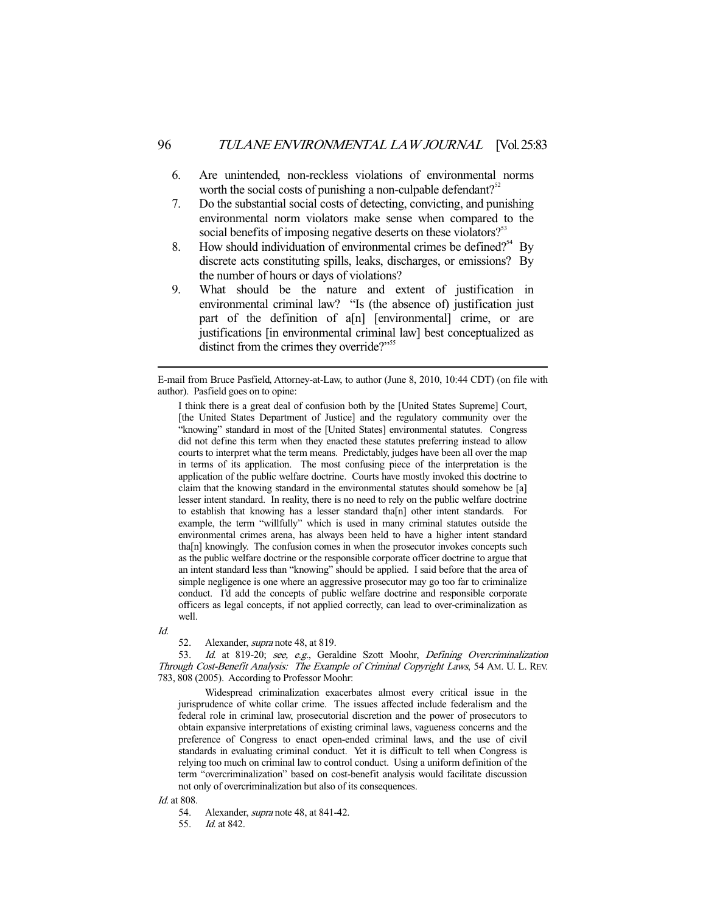- 6. Are unintended, non-reckless violations of environmental norms worth the social costs of punishing a non-culpable defendant?<sup>52</sup>
- 7. Do the substantial social costs of detecting, convicting, and punishing environmental norm violators make sense when compared to the social benefits of imposing negative deserts on these violators?<sup>53</sup>
- 8. How should individuation of environmental crimes be defined?<sup>54</sup> By discrete acts constituting spills, leaks, discharges, or emissions? By the number of hours or days of violations?
- 9. What should be the nature and extent of justification in environmental criminal law? "Is (the absence of) justification just part of the definition of a[n] [environmental] crime, or are justifications [in environmental criminal law] best conceptualized as distinct from the crimes they override?"<sup>55</sup>

E-mail from Bruce Pasfield, Attorney-at-Law, to author (June 8, 2010, 10:44 CDT) (on file with author). Pasfield goes on to opine:

I think there is a great deal of confusion both by the [United States Supreme] Court, [the United States Department of Justice] and the regulatory community over the "knowing" standard in most of the [United States] environmental statutes. Congress did not define this term when they enacted these statutes preferring instead to allow courts to interpret what the term means. Predictably, judges have been all over the map in terms of its application. The most confusing piece of the interpretation is the application of the public welfare doctrine. Courts have mostly invoked this doctrine to claim that the knowing standard in the environmental statutes should somehow be [a] lesser intent standard. In reality, there is no need to rely on the public welfare doctrine to establish that knowing has a lesser standard tha[n] other intent standards. For example, the term "willfully" which is used in many criminal statutes outside the environmental crimes arena, has always been held to have a higher intent standard tha[n] knowingly. The confusion comes in when the prosecutor invokes concepts such as the public welfare doctrine or the responsible corporate officer doctrine to argue that an intent standard less than "knowing" should be applied. I said before that the area of simple negligence is one where an aggressive prosecutor may go too far to criminalize conduct. I'd add the concepts of public welfare doctrine and responsible corporate officers as legal concepts, if not applied correctly, can lead to over-criminalization as well.

Id.

52. Alexander, supra note 48, at 819.

53. Id. at 819-20; see, e.g., Geraldine Szott Moohr, Defining Overcriminalization Through Cost-Benefit Analysis: The Example of Criminal Copyright Laws, 54 AM. U. L. REV. 783, 808 (2005). According to Professor Moohr:

 Widespread criminalization exacerbates almost every critical issue in the jurisprudence of white collar crime. The issues affected include federalism and the federal role in criminal law, prosecutorial discretion and the power of prosecutors to obtain expansive interpretations of existing criminal laws, vagueness concerns and the preference of Congress to enact open-ended criminal laws, and the use of civil standards in evaluating criminal conduct. Yet it is difficult to tell when Congress is relying too much on criminal law to control conduct. Using a uniform definition of the term "overcriminalization" based on cost-benefit analysis would facilitate discussion not only of overcriminalization but also of its consequences.

Id. at 808.

54. Alexander, *supra* note 48, at 841-42.

55. Id. at 842.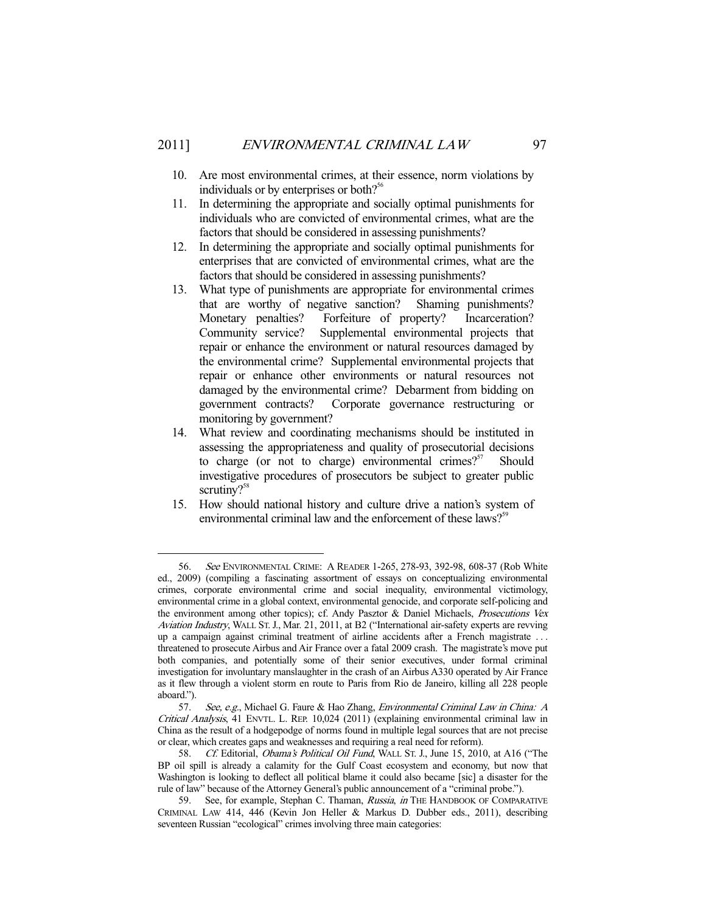- 10. Are most environmental crimes, at their essence, norm violations by individuals or by enterprises or both? $56$
- 11. In determining the appropriate and socially optimal punishments for individuals who are convicted of environmental crimes, what are the factors that should be considered in assessing punishments?
- 12. In determining the appropriate and socially optimal punishments for enterprises that are convicted of environmental crimes, what are the factors that should be considered in assessing punishments?
- 13. What type of punishments are appropriate for environmental crimes that are worthy of negative sanction? Shaming punishments?<br>Monetary penalties? Forfeiture of property? Incarceration? Forfeiture of property? Incarceration? Community service? Supplemental environmental projects that repair or enhance the environment or natural resources damaged by the environmental crime? Supplemental environmental projects that repair or enhance other environments or natural resources not damaged by the environmental crime? Debarment from bidding on government contracts? Corporate governance restructuring or monitoring by government?
- 14. What review and coordinating mechanisms should be instituted in assessing the appropriateness and quality of prosecutorial decisions to charge (or not to charge) environmental crimes? $57$  Should investigative procedures of prosecutors be subject to greater public scrutiny?<sup>58</sup>
- 15. How should national history and culture drive a nation's system of environmental criminal law and the enforcement of these laws?<sup>59</sup>

 <sup>56.</sup> See ENVIRONMENTAL CRIME: A READER 1-265, 278-93, 392-98, 608-37 (Rob White ed., 2009) (compiling a fascinating assortment of essays on conceptualizing environmental crimes, corporate environmental crime and social inequality, environmental victimology, environmental crime in a global context, environmental genocide, and corporate self-policing and the environment among other topics); cf. Andy Pasztor & Daniel Michaels, Prosecutions Vex Aviation Industry, WALL ST. J., Mar. 21, 2011, at B2 ("International air-safety experts are revving up a campaign against criminal treatment of airline accidents after a French magistrate . . . threatened to prosecute Airbus and Air France over a fatal 2009 crash. The magistrate's move put both companies, and potentially some of their senior executives, under formal criminal investigation for involuntary manslaughter in the crash of an Airbus A330 operated by Air France as it flew through a violent storm en route to Paris from Rio de Janeiro, killing all 228 people aboard.").

<sup>57.</sup> See, e.g., Michael G. Faure & Hao Zhang, Environmental Criminal Law in China: A Critical Analysis, 41 ENVTL. L. REP. 10,024 (2011) (explaining environmental criminal law in China as the result of a hodgepodge of norms found in multiple legal sources that are not precise or clear, which creates gaps and weaknesses and requiring a real need for reform).

 <sup>58.</sup> Cf. Editorial, Obama's Political Oil Fund, WALL ST. J., June 15, 2010, at A16 ("The BP oil spill is already a calamity for the Gulf Coast ecosystem and economy, but now that Washington is looking to deflect all political blame it could also became [sic] a disaster for the rule of law" because of the Attorney General's public announcement of a "criminal probe.").

<sup>59.</sup> See, for example, Stephan C. Thaman, Russia, in THE HANDBOOK OF COMPARATIVE CRIMINAL LAW 414, 446 (Kevin Jon Heller & Markus D. Dubber eds., 2011), describing seventeen Russian "ecological" crimes involving three main categories: